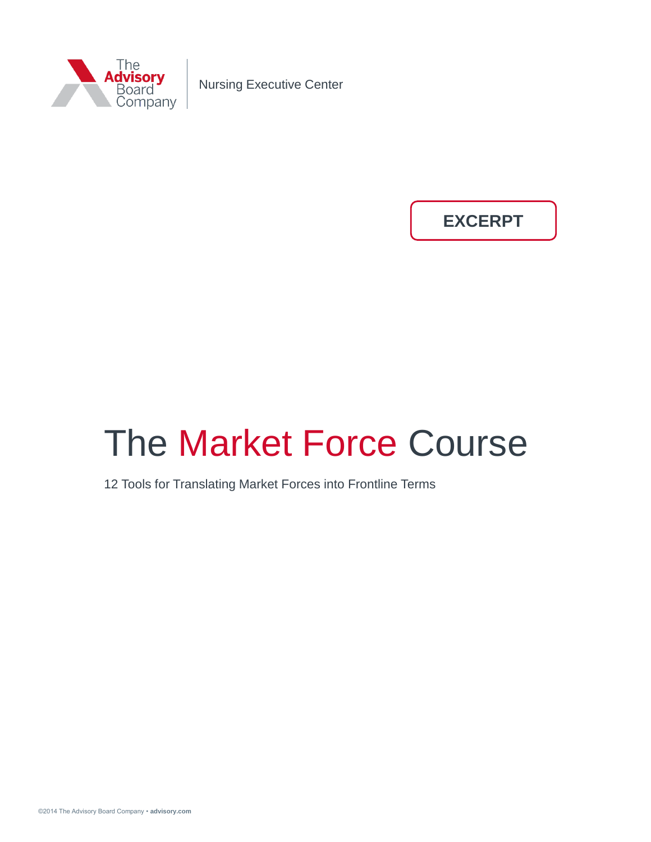

Nursing Executive Center

**EXCERPT**

# The Market Force Course

12 Tools for Translating Market Forces into Frontline Terms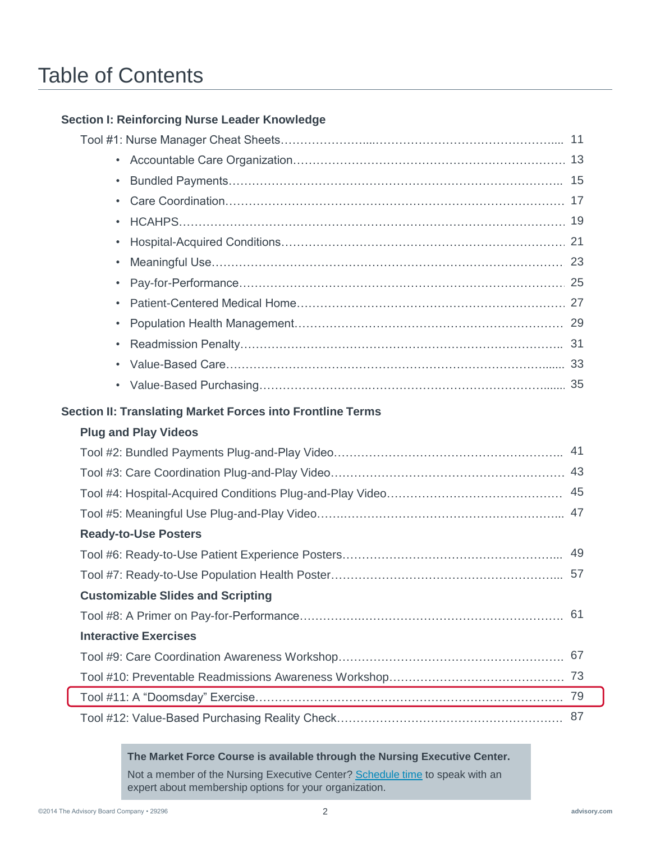# Table of Contents

### **Section I: Reinforcing Nurse Leader Knowledge**

| $\bullet$                                                         |    |  |  |  |  |  |
|-------------------------------------------------------------------|----|--|--|--|--|--|
| $\bullet$                                                         |    |  |  |  |  |  |
| $\bullet$                                                         |    |  |  |  |  |  |
| $\bullet$                                                         |    |  |  |  |  |  |
| $\bullet$                                                         |    |  |  |  |  |  |
| $\bullet$                                                         |    |  |  |  |  |  |
| $\bullet$                                                         |    |  |  |  |  |  |
| $\bullet$                                                         |    |  |  |  |  |  |
| $\bullet$                                                         |    |  |  |  |  |  |
| $\bullet$                                                         |    |  |  |  |  |  |
|                                                                   |    |  |  |  |  |  |
| <b>Section II: Translating Market Forces into Frontline Terms</b> |    |  |  |  |  |  |
| <b>Plug and Play Videos</b>                                       |    |  |  |  |  |  |
|                                                                   |    |  |  |  |  |  |
|                                                                   |    |  |  |  |  |  |
|                                                                   |    |  |  |  |  |  |
|                                                                   |    |  |  |  |  |  |
| <b>Ready-to-Use Posters</b>                                       |    |  |  |  |  |  |
|                                                                   |    |  |  |  |  |  |
|                                                                   |    |  |  |  |  |  |
| <b>Customizable Slides and Scripting</b>                          |    |  |  |  |  |  |
|                                                                   | 61 |  |  |  |  |  |
| <b>Interactive Exercises</b>                                      |    |  |  |  |  |  |
|                                                                   | 67 |  |  |  |  |  |
|                                                                   | 73 |  |  |  |  |  |
|                                                                   | 79 |  |  |  |  |  |
|                                                                   | 87 |  |  |  |  |  |

**The Market Force Course is available through the Nursing Executive Center.** 

Not a member of the Nursing Executive Center? [Schedule time](http://ns.advisory.com/NEC-Demo-2014) to speak with an expert about membership options for your organization.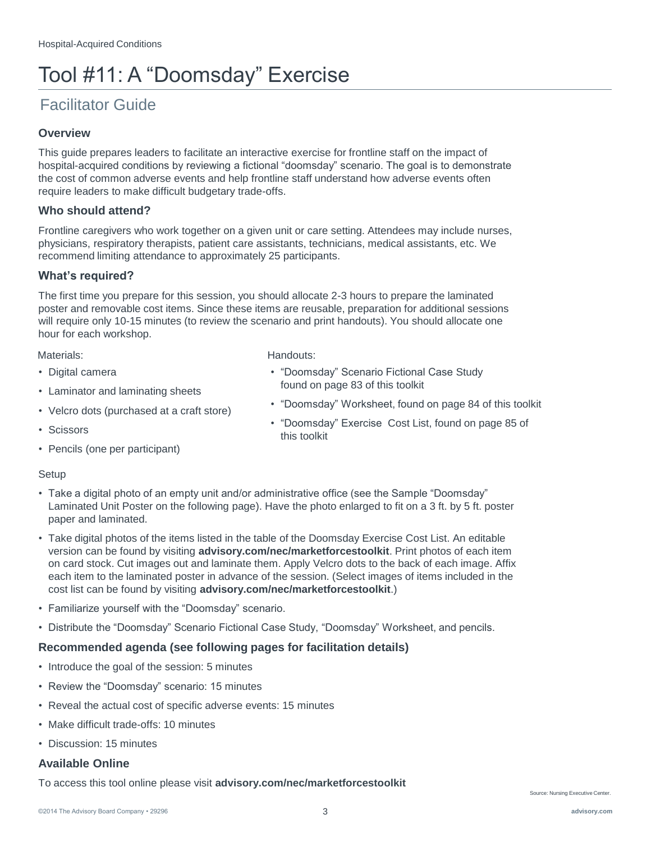# Tool #11: A "Doomsday" Exercise

## Facilitator Guide

#### **Overview**

This guide prepares leaders to facilitate an interactive exercise for frontline staff on the impact of hospital-acquired conditions by reviewing a fictional "doomsday" scenario. The goal is to demonstrate the cost of common adverse events and help frontline staff understand how adverse events often require leaders to make difficult budgetary trade-offs.

#### **Who should attend?**

Frontline caregivers who work together on a given unit or care setting. Attendees may include nurses, physicians, respiratory therapists, patient care assistants, technicians, medical assistants, etc. We recommend limiting attendance to approximately 25 participants.

#### **What's required?**

The first time you prepare for this session, you should allocate 2-3 hours to prepare the laminated poster and removable cost items. Since these items are reusable, preparation for additional sessions will require only 10-15 minutes (to review the scenario and print handouts). You should allocate one hour for each workshop.

• "Doomsday" Scenario Fictional Case Study

• "Doomsday" Worksheet, found on page 84 of this toolkit • "Doomsday" Exercise Cost List, found on page 85 of

found on page 83 of this toolkit

Materials: **Materials:** Handouts:

- Digital camera
- Laminator and laminating sheets
- Velcro dots (purchased at a craft store)
- Scissors
- Pencils (one per participant)

#### Setup

• Take a digital photo of an empty unit and/or administrative office (see the Sample "Doomsday" Laminated Unit Poster on the following page). Have the photo enlarged to fit on a 3 ft. by 5 ft. poster paper and laminated.

this toolkit

- Take digital photos of the items listed in the table of the Doomsday Exercise Cost List. An editable version can be found by visiting **advisory.com/nec/marketforcestoolkit**. Print photos of each item on card stock. Cut images out and laminate them. Apply Velcro dots to the back of each image. Affix each item to the laminated poster in advance of the session. (Select images of items included in the cost list can be found by visiting **advisory.com/nec/marketforcestoolkit**.)
- Familiarize yourself with the "Doomsday" scenario.
- Distribute the "Doomsday" Scenario Fictional Case Study, "Doomsday" Worksheet, and pencils.

#### **Recommended agenda (see following pages for facilitation details)**

- Introduce the goal of the session: 5 minutes
- Review the "Doomsday" scenario: 15 minutes
- Reveal the actual cost of specific adverse events: 15 minutes
- Make difficult trade-offs: 10 minutes
- Discussion: 15 minutes

### **Available Online**

To access this tool online please visit **advisory.com/nec/marketforcestoolkit**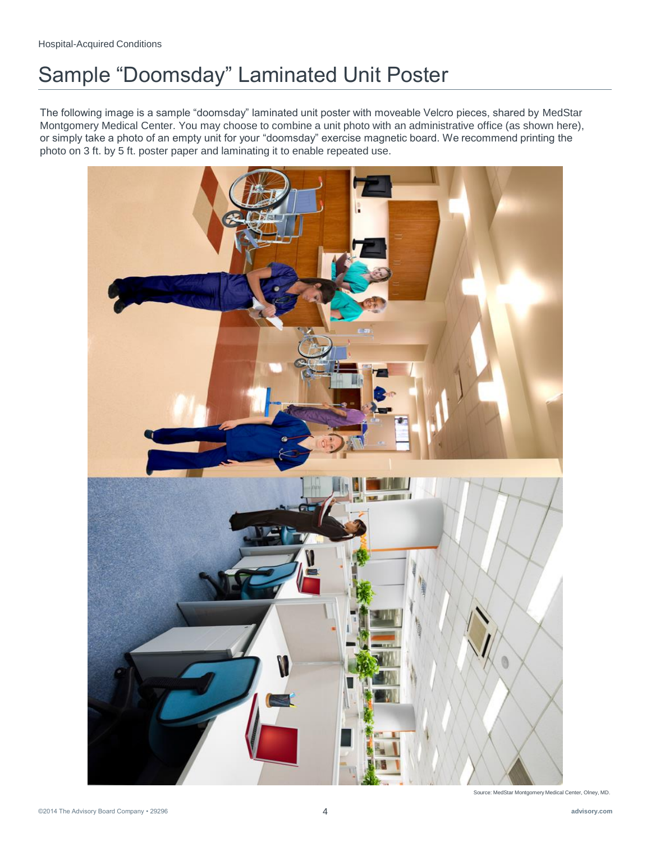# Sample "Doomsday" Laminated Unit Poster

The following image is a sample "doomsday" laminated unit poster with moveable Velcro pieces, shared by MedStar Montgomery Medical Center. You may choose to combine a unit photo with an administrative office (as shown here), or simply take a photo of an empty unit for your "doomsday" exercise magnetic board. We recommend printing the photo on 3 ft. by 5 ft. poster paper and laminating it to enable repeated use.



Source: MedStar Montgomery Medical Center, Olney, MD.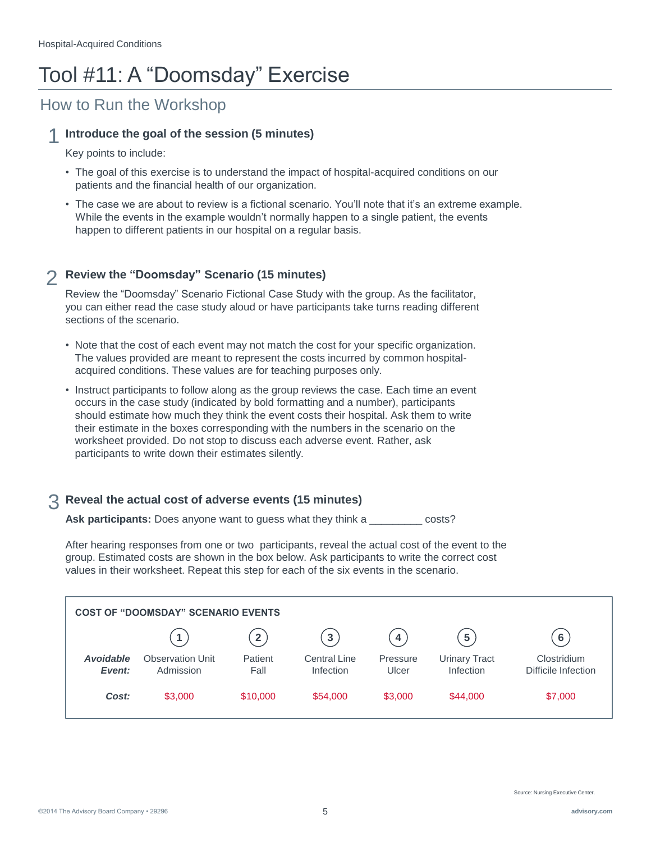# Tool #11: A "Doomsday" Exercise

# How to Run the Workshop

### 1 **Introduce the goal of the session (5 minutes)**

Key points to include:

- The goal of this exercise is to understand the impact of hospital-acquired conditions on our patients and the financial health of our organization.
- The case we are about to review is a fictional scenario. You'll note that it's an extreme example. While the events in the example wouldn't normally happen to a single patient, the events happen to different patients in our hospital on a regular basis.

#### 2 **Review the "Doomsday" Scenario (15 minutes)**

Review the "Doomsday" Scenario Fictional Case Study with the group. As the facilitator, you can either read the case study aloud or have participants take turns reading different sections of the scenario.

- Note that the cost of each event may not match the cost for your specific organization. The values provided are meant to represent the costs incurred by common hospitalacquired conditions. These values are for teaching purposes only.
- Instruct participants to follow along as the group reviews the case. Each time an event occurs in the case study (indicated by bold formatting and a number), participants should estimate how much they think the event costs their hospital. Ask them to write their estimate in the boxes corresponding with the numbers in the scenario on the worksheet provided. Do not stop to discuss each adverse event. Rather, ask participants to write down their estimates silently.

### 3 **Reveal the actual cost of adverse events (15 minutes)**

Ask participants: Does anyone want to guess what they think a \_\_\_\_\_\_\_\_\_ costs?

After hearing responses from one or two participants, reveal the actual cost of the event to the group. Estimated costs are shown in the box below. Ask participants to write the correct cost values in their worksheet. Repeat this step for each of the six events in the scenario.

| <b>COST OF "DOOMSDAY" SCENARIO EVENTS</b> |                                      |                         |                                  |                         |                                   |                                    |  |  |
|-------------------------------------------|--------------------------------------|-------------------------|----------------------------------|-------------------------|-----------------------------------|------------------------------------|--|--|
|                                           |                                      | $\overline{\mathbf{2}}$ | $\mathbf{3}$                     | $\overline{\mathbf{4}}$ | 5 <sup>1</sup>                    | 6                                  |  |  |
| <b>Avoidable</b><br>Event:                | <b>Observation Unit</b><br>Admission | Patient<br>Fall         | <b>Central Line</b><br>Infection | Pressure<br>Ulcer       | <b>Urinary Tract</b><br>Infection | Clostridium<br>Difficile Infection |  |  |
| Cost:                                     | \$3,000                              | \$10,000                | \$54,000                         | \$3,000                 | \$44,000                          | \$7,000                            |  |  |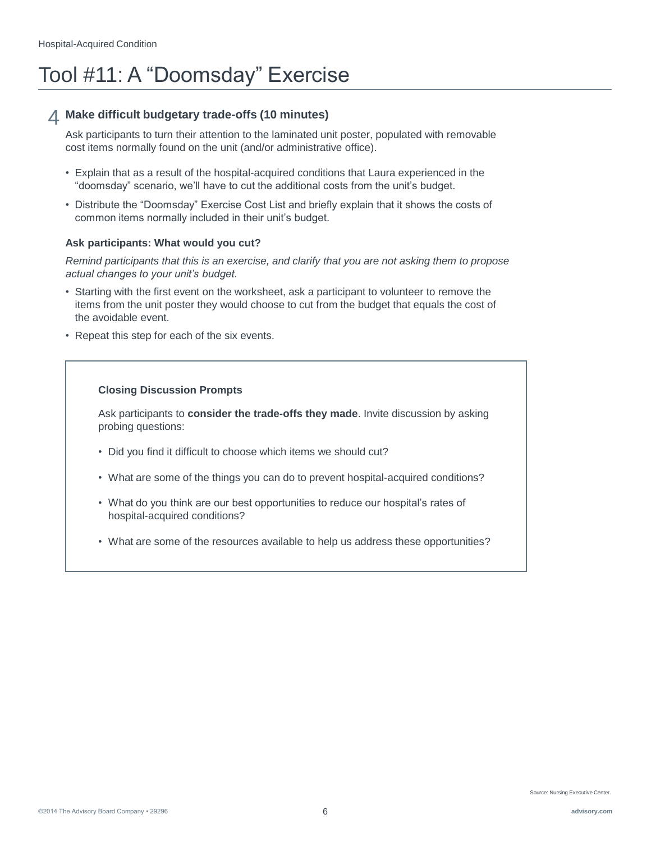# Tool #11: A "Doomsday" Exercise

### 4 **Make difficult budgetary trade-offs (10 minutes)**

Ask participants to turn their attention to the laminated unit poster, populated with removable cost items normally found on the unit (and/or administrative office).

- Explain that as a result of the hospital-acquired conditions that Laura experienced in the "doomsday" scenario, we'll have to cut the additional costs from the unit's budget.
- Distribute the "Doomsday" Exercise Cost List and briefly explain that it shows the costs of common items normally included in their unit's budget.

### **Ask participants: What would you cut?**

*Remind participants that this is an exercise, and clarify that you are not asking them to propose actual changes to your unit's budget.*

- Starting with the first event on the worksheet, ask a participant to volunteer to remove the items from the unit poster they would choose to cut from the budget that equals the cost of the avoidable event.
- Repeat this step for each of the six events.

### **Closing Discussion Prompts**

Ask participants to **consider the trade-offs they made**. Invite discussion by asking probing questions:

- Did you find it difficult to choose which items we should cut?
- What are some of the things you can do to prevent hospital-acquired conditions?
- What do you think are our best opportunities to reduce our hospital's rates of hospital-acquired conditions?
- What are some of the resources available to help us address these opportunities?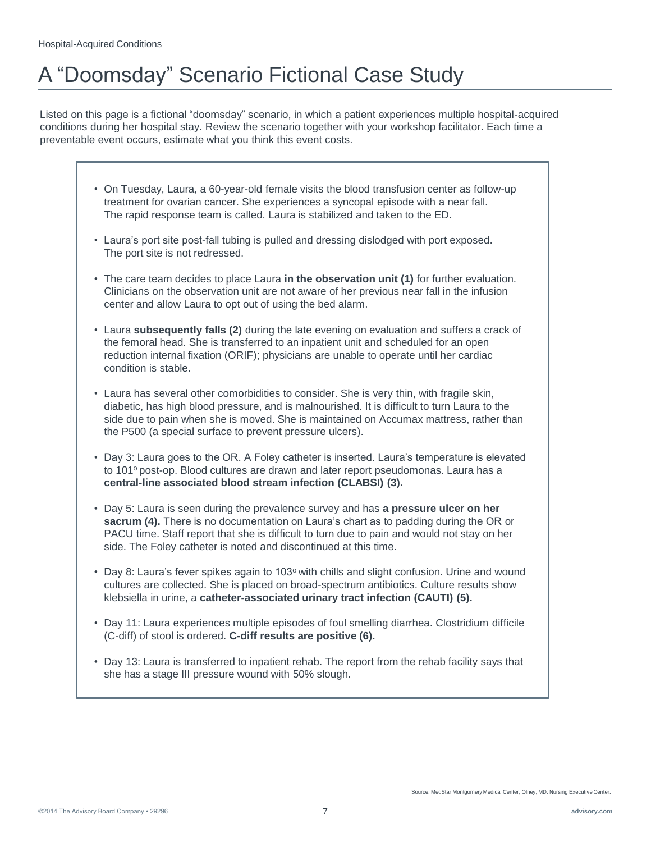# A "Doomsday" Scenario Fictional Case Study

Listed on this page is a fictional "doomsday" scenario, in which a patient experiences multiple hospital-acquired conditions during her hospital stay. Review the scenario together with your workshop facilitator. Each time a preventable event occurs, estimate what you think this event costs.

- On Tuesday, Laura, a 60-year-old female visits the blood transfusion center as follow-up treatment for ovarian cancer. She experiences a syncopal episode with a near fall. The rapid response team is called. Laura is stabilized and taken to the ED.
- Laura's port site post-fall tubing is pulled and dressing dislodged with port exposed. The port site is not redressed.
- The care team decides to place Laura **in the observation unit (1)** for further evaluation. Clinicians on the observation unit are not aware of her previous near fall in the infusion center and allow Laura to opt out of using the bed alarm.
- Laura **subsequently falls (2)** during the late evening on evaluation and suffers a crack of the femoral head. She is transferred to an inpatient unit and scheduled for an open reduction internal fixation (ORIF); physicians are unable to operate until her cardiac condition is stable.
- Laura has several other comorbidities to consider. She is very thin, with fragile skin, diabetic, has high blood pressure, and is malnourished. It is difficult to turn Laura to the side due to pain when she is moved. She is maintained on Accumax mattress, rather than the P500 (a special surface to prevent pressure ulcers).
- Day 3: Laura goes to the OR. A Foley catheter is inserted. Laura's temperature is elevated to 101º post-op. Blood cultures are drawn and later report pseudomonas. Laura has a **central-line associated blood stream infection (CLABSI) (3).**
- Day 5: Laura is seen during the prevalence survey and has **a pressure ulcer on her sacrum (4).** There is no documentation on Laura's chart as to padding during the OR or PACU time. Staff report that she is difficult to turn due to pain and would not stay on her side. The Foley catheter is noted and discontinued at this time.
- Day 8: Laura's fever spikes again to 103 $\degree$  with chills and slight confusion. Urine and wound cultures are collected. She is placed on broad-spectrum antibiotics. Culture results show klebsiella in urine, a **catheter-associated urinary tract infection (CAUTI) (5).**
- Day 11: Laura experiences multiple episodes of foul smelling diarrhea. Clostridium difficile (C-diff) of stool is ordered. **C-diff results are positive (6).**
- Day 13: Laura is transferred to inpatient rehab. The report from the rehab facility says that she has a stage III pressure wound with 50% slough.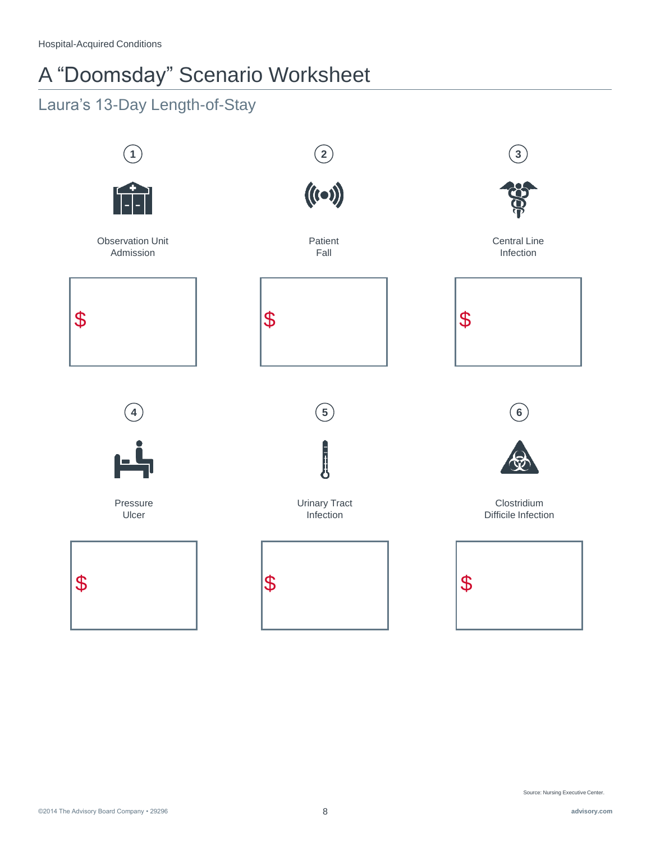# A "Doomsday" Scenario Worksheet

# Laura's 13-Day Length-of-Stay